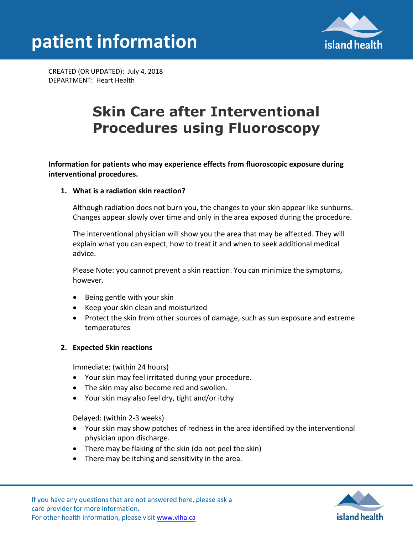



CREATED (OR UPDATED): July 4, 2018 DEPARTMENT: Heart Health

# **Skin Care after Interventional Procedures using Fluoroscopy**

**Information for patients who may experience effects from fluoroscopic exposure during interventional procedures.** 

## **1. What is a radiation skin reaction?**

Although radiation does not burn you, the changes to your skin appear like sunburns. Changes appear slowly over time and only in the area exposed during the procedure.

The interventional physician will show you the area that may be affected. They will explain what you can expect, how to treat it and when to seek additional medical advice.

Please Note: you cannot prevent a skin reaction. You can minimize the symptoms, however.

- Being gentle with your skin
- Keep your skin clean and moisturized
- Protect the skin from other sources of damage, such as sun exposure and extreme temperatures

#### **2. Expected Skin reactions**

Immediate: (within 24 hours)

- Your skin may feel irritated during your procedure.
- The skin may also become red and swollen.
- Your skin may also feel dry, tight and/or itchy

Delayed: (within 2-3 weeks)

- Your skin may show patches of redness in the area identified by the interventional physician upon discharge.
- There may be flaking of the skin (do not peel the skin)
- There may be itching and sensitivity in the area.

If you have any questions that are not answered here, please ask a care provider for more information. For other health information, please visit [www.viha.ca](http://www.viha.ca/)